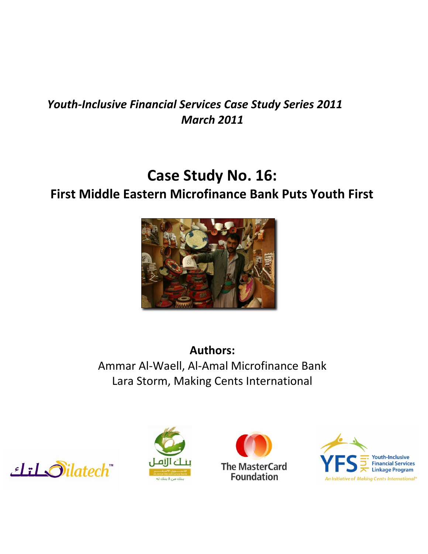## *Youth-Inclusive Financial Services Case Study Series 2011 March 2011*

# **Case Study No. 16:**

# **First Middle Eastern Microfinance Bank Puts Youth First**



**Authors:** Ammar Al-Waell, Al-Amal Microfinance Bank Lara Storm, Making Cents International







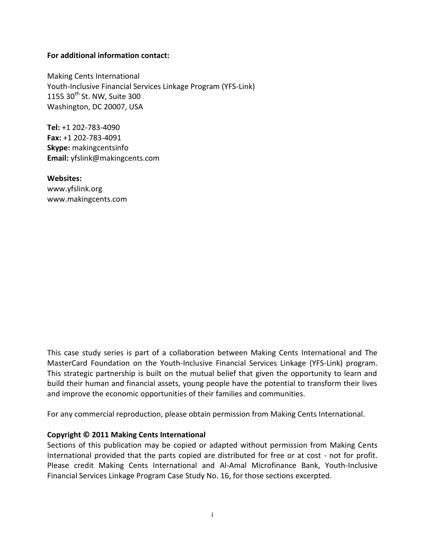### **For additional information contact:**

Making Cents International Youth-Inclusive Financial Services Linkage Program (YFS-Link) 1155  $30^{th}$  St. NW, Suite 300 Washington, DC 20007, USA

**Tel:** +1 202-783-4090 **Fax:** +1 202-783-4091 **Skype:** makingcentsinfo **Email:** yfslink@makingcents.com

**Websites:** www.yfslink.org www.makingcents.com

This case study series is part of a collaboration between Making Cents International and The MasterCard Foundation on the Youth-Inclusive Financial Services Linkage (YFS-Link) program. This strategic partnership is built on the mutual belief that given the opportunity to learn and build their human and financial assets, young people have the potential to transform their lives and improve the economic opportunities of their families and communities.

For any commercial reproduction, please obtain permission from Making Cents International.

### **Copyright © 2011 Making Cents International**

Sections of this publication may be copied or adapted without permission from Making Cents International provided that the parts copied are distributed for free or at cost - not for profit. Please credit Making Cents International and Al-Amal Microfinance Bank, Youth-Inclusive Financial Services Linkage Program Case Study No. 16, for those sections excerpted.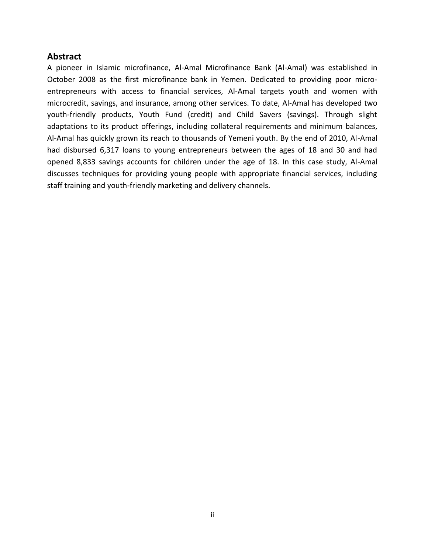### **Abstract**

A pioneer in Islamic microfinance, Al-Amal Microfinance Bank (Al-Amal) was established in October 2008 as the first microfinance bank in Yemen. Dedicated to providing poor microentrepreneurs with access to financial services, Al-Amal targets youth and women with microcredit, savings, and insurance, among other services. To date, Al-Amal has developed two youth-friendly products, Youth Fund (credit) and Child Savers (savings). Through slight adaptations to its product offerings, including collateral requirements and minimum balances, Al-Amal has quickly grown its reach to thousands of Yemeni youth. By the end of 2010, Al-Amal had disbursed 6,317 loans to young entrepreneurs between the ages of 18 and 30 and had opened 8,833 savings accounts for children under the age of 18. In this case study, Al-Amal discusses techniques for providing young people with appropriate financial services, including staff training and youth-friendly marketing and delivery channels.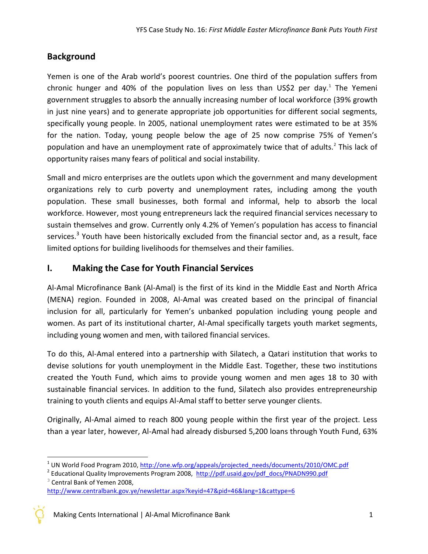### **Background**

Yemen is one of the Arab world's poorest countries. One third of the population suffers from chronic hunger and 40% of the population lives on less than US\$2 per day.<sup>1</sup> The Yemeni government struggles to absorb the annually increasing number of local workforce (39% growth in just nine years) and to generate appropriate job opportunities for different social segments, specifically young people. In 2005, national unemployment rates were estimated to be at 35% for the nation. Today, young people below the age of 25 now comprise 75% of Yemen's population and have an unemployment rate of approximately twice that of adults.<sup>2</sup> This lack of opportunity raises many fears of political and social instability.

Small and micro enterprises are the outlets upon which the government and many development organizations rely to curb poverty and unemployment rates, including among the youth population. These small businesses, both formal and informal, help to absorb the local workforce. However, most young entrepreneurs lack the required financial services necessary to sustain themselves and grow. Currently only 4.2% of Yemen's population has access to financial services.<sup>3</sup> Youth have been historically excluded from the financial sector and, as a result, face limited options for building livelihoods for themselves and their families.

### **I. Making the Case for Youth Financial Services**

Al-Amal Microfinance Bank (Al-Amal) is the first of its kind in the Middle East and North Africa (MENA) region. Founded in 2008, Al-Amal was created based on the principal of financial inclusion for all, particularly for Yemen's unbanked population including young people and women. As part of its institutional charter, Al-Amal specifically targets youth market segments, including young women and men, with tailored financial services.

To do this, Al-Amal entered into a partnership with Silatech, a Qatari institution that works to devise solutions for youth unemployment in the Middle East. Together, these two institutions created the Youth Fund, which aims to provide young women and men ages 18 to 30 with sustainable financial services. In addition to the fund, Silatech also provides entrepreneurship training to youth clients and equips Al-Amal staff to better serve younger clients.

Originally, Al-Amal aimed to reach 800 young people within the first year of the project. Less than a year later, however, Al-Amal had already disbursed 5,200 loans through Youth Fund, 63%

Making Cents International | Al-Amal Microfinance Bank 1

 $\overline{\phantom{a}}$ 

<sup>&</sup>lt;sup>1</sup> UN World Food Program 2010, http://one.wfp.org/appeals/projected needs/documents/2010/OMC.pdf

<sup>&</sup>lt;sup>2</sup> Educational Quality Improvements Program 2008, [http://pdf.usaid.gov/pdf\\_docs/PNADN990.pdf](http://pdf.usaid.gov/pdf_docs/PNADN990.pdf)  $3$  Central Bank of Yemen 2008.

<http://www.centralbank.gov.ye/newslettar.aspx?keyid=47&pid=46&lang=1&cattype=6>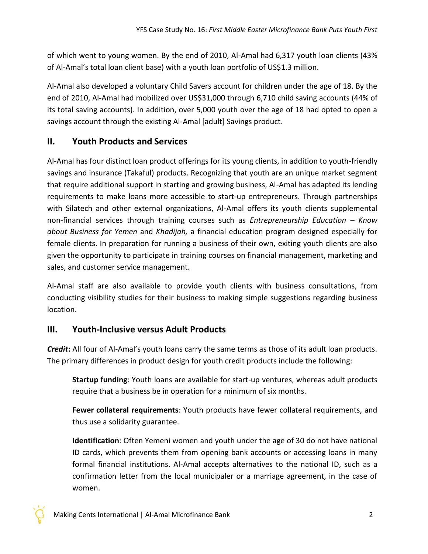of which went to young women. By the end of 2010, Al-Amal had 6,317 youth loan clients (43% of Al-Amal's total loan client base) with a youth loan portfolio of US\$1.3 million.

Al-Amal also developed a voluntary Child Savers account for children under the age of 18. By the end of 2010, Al-Amal had mobilized over US\$31,000 through 6,710 child saving accounts (44% of its total saving accounts). In addition, over 5,000 youth over the age of 18 had opted to open a savings account through the existing Al-Amal [adult] Savings product.

### **II. Youth Products and Services**

Al-Amal has four distinct loan product offerings for its young clients, in addition to youth-friendly savings and insurance (Takaful) products. Recognizing that youth are an unique market segment that require additional support in starting and growing business, Al-Amal has adapted its lending requirements to make loans more accessible to start-up entrepreneurs. Through partnerships with Silatech and other external organizations, Al-Amal offers its youth clients supplemental non-financial services through training courses such as *Entrepreneurship Education – Know about Business for Yemen* and *Khadijah,* a financial education program designed especially for female clients. In preparation for running a business of their own, exiting youth clients are also given the opportunity to participate in training courses on financial management, marketing and sales, and customer service management.

Al-Amal staff are also available to provide youth clients with business consultations, from conducting visibility studies for their business to making simple suggestions regarding business location.

### **III. Youth-Inclusive versus Adult Products**

*Credit***:** All four of Al-Amal's youth loans carry the same terms as those of its adult loan products. The primary differences in product design for youth credit products include the following:

**Startup funding**: Youth loans are available for start-up ventures, whereas adult products require that a business be in operation for a minimum of six months.

**Fewer collateral requirements**: Youth products have fewer collateral requirements, and thus use a solidarity guarantee.

**Identification**: Often Yemeni women and youth under the age of 30 do not have national ID cards, which prevents them from opening bank accounts or accessing loans in many formal financial institutions. Al-Amal accepts alternatives to the national ID, such as a confirmation letter from the local municipaler or a marriage agreement, in the case of women.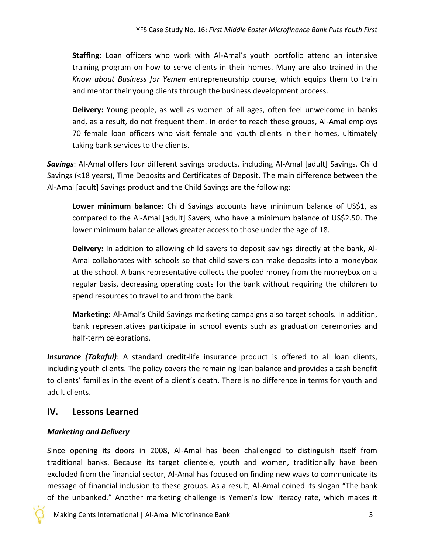**Staffing:** Loan officers who work with Al-Amal's youth portfolio attend an intensive training program on how to serve clients in their homes. Many are also trained in the *Know about Business for Yemen* entrepreneurship course, which equips them to train and mentor their young clients through the business development process.

**Delivery:** Young people, as well as women of all ages, often feel unwelcome in banks and, as a result, do not frequent them. In order to reach these groups, Al-Amal employs 70 female loan officers who visit female and youth clients in their homes, ultimately taking bank services to the clients.

*Savings*: Al-Amal offers four different savings products, including Al-Amal [adult] Savings, Child Savings (<18 years), Time Deposits and Certificates of Deposit. The main difference between the Al-Amal [adult] Savings product and the Child Savings are the following:

**Lower minimum balance:** Child Savings accounts have minimum balance of US\$1, as compared to the Al-Amal [adult] Savers, who have a minimum balance of US\$2.50. The lower minimum balance allows greater access to those under the age of 18.

**Delivery:** In addition to allowing child savers to deposit savings directly at the bank, Al-Amal collaborates with schools so that child savers can make deposits into a moneybox at the school. A bank representative collects the pooled money from the moneybox on a regular basis, decreasing operating costs for the bank without requiring the children to spend resources to travel to and from the bank.

**Marketing:** Al-Amal's Child Savings marketing campaigns also target schools. In addition, bank representatives participate in school events such as graduation ceremonies and half-term celebrations.

*Insurance (Takaful)*: A standard credit-life insurance product is offered to all loan clients, including youth clients. The policy covers the remaining loan balance and provides a cash benefit to clients' families in the event of a client's death. There is no difference in terms for youth and adult clients.

### **IV. Lessons Learned**

### *Marketing and Delivery*

Since opening its doors in 2008, Al-Amal has been challenged to distinguish itself from traditional banks. Because its target clientele, youth and women, traditionally have been excluded from the financial sector, Al-Amal has focused on finding new ways to communicate its message of financial inclusion to these groups. As a result, Al-Amal coined its slogan "The bank of the unbanked." Another marketing challenge is Yemen's low literacy rate, which makes it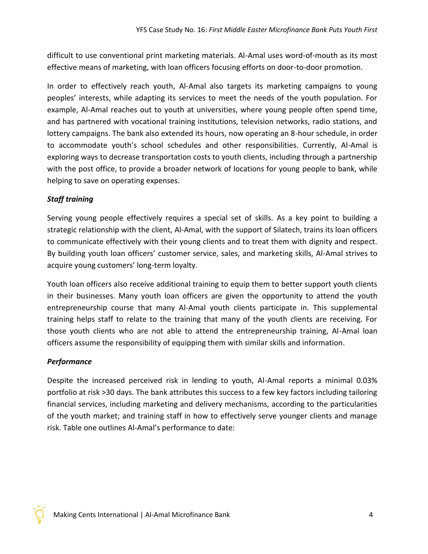difficult to use conventional print marketing materials. Al-Amal uses word-of-mouth as its most effective means of marketing, with loan officers focusing efforts on door-to-door promotion.

In order to effectively reach youth, Al-Amal also targets its marketing campaigns to young peoples' interests, while adapting its services to meet the needs of the youth population. For example, Al-Amal reaches out to youth at universities, where young people often spend time, and has partnered with vocational training institutions, television networks, radio stations, and lottery campaigns. The bank also extended its hours, now operating an 8-hour schedule, in order to accommodate youth's school schedules and other responsibilities. Currently, Al-Amal is exploring ways to decrease transportation costs to youth clients, including through a partnership with the post office, to provide a broader network of locations for young people to bank, while helping to save on operating expenses.

### *Staff training*

Serving young people effectively requires a special set of skills. As a key point to building a strategic relationship with the client, Al-Amal, with the support of Silatech, trains its loan officers to communicate effectively with their young clients and to treat them with dignity and respect. By building youth loan officers' customer service, sales, and marketing skills, Al-Amal strives to acquire young customers' long-term loyalty.

Youth loan officers also receive additional training to equip them to better support youth clients in their businesses. Many youth loan officers are given the opportunity to attend the youth entrepreneurship course that many Al-Amal youth clients participate in. This supplemental training helps staff to relate to the training that many of the youth clients are receiving. For those youth clients who are not able to attend the entrepreneurship training, Al-Amal loan officers assume the responsibility of equipping them with similar skills and information.

### *Performance*

Despite the increased perceived risk in lending to youth, Al-Amal reports a minimal 0.03% portfolio at risk >30 days. The bank attributes this success to a few key factors including tailoring financial services, including marketing and delivery mechanisms, according to the particularities of the youth market; and training staff in how to effectively serve younger clients and manage risk. Table one outlines Al-Amal's performance to date: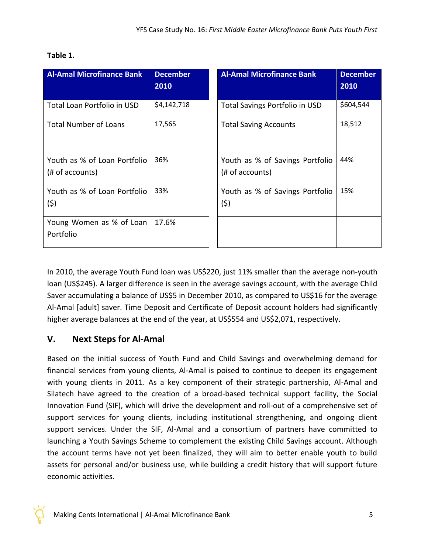| <b>Al-Amal Microfinance Bank</b>                | <b>December</b><br>2010 | <b>Al-Amal Microfinance Bank</b>                   | <b>December</b><br>2010 |
|-------------------------------------------------|-------------------------|----------------------------------------------------|-------------------------|
| Total Loan Portfolio in USD                     | \$4,142,718             | <b>Total Savings Portfolio in USD</b>              | \$604,544               |
| <b>Total Number of Loans</b>                    | 17,565                  | <b>Total Saving Accounts</b>                       | 18,512                  |
| Youth as % of Loan Portfolio<br>(# of accounts) | 36%                     | Youth as % of Savings Portfolio<br>(# of accounts) | 44%                     |
| Youth as % of Loan Portfolio<br>(5)             | 33%                     | Youth as % of Savings Portfolio<br>(\$)            | 15%                     |
| Young Women as % of Loan<br>Portfolio           | 17.6%                   |                                                    |                         |

### **Table 1.**

In 2010, the average Youth Fund loan was US\$220, just 11% smaller than the average non-youth loan (US\$245). A larger difference is seen in the average savings account, with the average Child Saver accumulating a balance of US\$5 in December 2010, as compared to US\$16 for the average Al-Amal [adult] saver. Time Deposit and Certificate of Deposit account holders had significantly higher average balances at the end of the year, at US\$554 and US\$2,071, respectively.

### **V. Next Steps for Al-Amal**

Based on the initial success of Youth Fund and Child Savings and overwhelming demand for financial services from young clients, Al-Amal is poised to continue to deepen its engagement with young clients in 2011. As a key component of their strategic partnership, Al-Amal and Silatech have agreed to the creation of a broad-based technical support facility, the Social Innovation Fund (SIF), which will drive the development and roll-out of a comprehensive set of support services for young clients, including institutional strengthening, and ongoing client support services. Under the SIF, Al-Amal and a consortium of partners have committed to launching a Youth Savings Scheme to complement the existing Child Savings account. Although the account terms have not yet been finalized, they will aim to better enable youth to build assets for personal and/or business use, while building a credit history that will support future economic activities.

Making Cents International | Al-Amal Microfinance Bank 5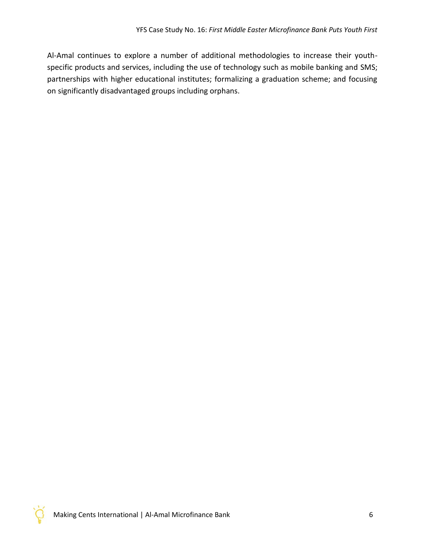Al-Amal continues to explore a number of additional methodologies to increase their youthspecific products and services, including the use of technology such as mobile banking and SMS; partnerships with higher educational institutes; formalizing a graduation scheme; and focusing on significantly disadvantaged groups including orphans.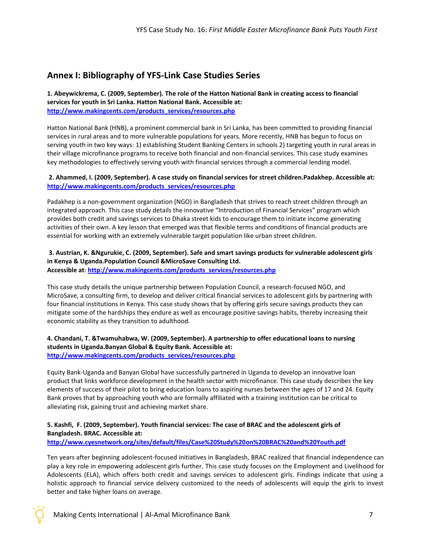### **Annex I: Bibliography of YFS-Link Case Studies Series**

**1. Abeywickrema, C. (2009, September). The role of the Hatton National Bank in creating access to financial services for youth in Sri Lanka. Hatton National Bank. Accessible at: [http://www.makingcents.com/products\\_services/resources.php](http://www.makingcents.com/products_services/resources.php)**

Hatton National Bank (HNB), a prominent commercial bank in Sri Lanka, has been committed to providing financial services in rural areas and to more vulnerable populations for years. More recently, HNB has begun to focus on serving youth in two key ways: 1) establishing Student Banking Centers in schools 2) targeting youth in rural areas in their village microfinance programs to receive both financial and non-financial services. This case study examines key methodologies to effectively serving youth with financial services through a commercial lending model.

#### **2. Ahammed, I. (2009, September). A case study on financial services for street children.Padakhep. Accessible at: [http://www.makingcents.com/products\\_services/resources.php](http://www.makingcents.com/products_services/resources.php)**

Padakhep is a non-government organization (NGO) in Bangladesh that strives to reach street children through an integrated approach. This case study details the innovative "Introduction of Financial Services" program which provides both credit and savings services to Dhaka street kids to encourage them to initiate income generating activities of their own. A key lesson that emerged was that flexible terms and conditions of financial products are essential for working with an extremely vulnerable target population like urban street children.

**3. Austrian, K. &Ngurukie, C. (2009, September). Safe and smart savings products for vulnerable adolescent girls in Kenya & Uganda.Population Council &MicroSave Consulting Ltd. Accessible at**: **[http://www.makingcents.com/products\\_services/resources.php](http://www.makingcents.com/products_services/resources.php)**

This case study details the unique partnership between Population Council, a research-focused NGO, and MicroSave, a consulting firm, to develop and deliver critical financial services to adolescent girls by partnering with four financial institutions in Kenya. This case study shows that by offering girls secure savings products they can mitigate some of the hardships they endure as well as encourage positive savings habits, thereby increasing their economic stability as they transition to adulthood.

#### **4. Chandani, T. &Twamuhabwa, W. (2009, September). A partnership to offer educational loans to nursing students in Uganda.Banyan Global & Equity Bank. Accessible at: [http://www.makingcents.com/products\\_services/resources.php](http://www.makingcents.com/products_services/resources.php)**

Equity Bank-Uganda and Banyan Global have successfully partnered in Uganda to develop an innovative loan product that links workforce development in the health sector with microfinance. This case study describes the key elements of success of their pilot to bring education loans to aspiring nurses between the ages of 17 and 24. Equity Bank proves that by approaching youth who are formally affiliated with a training institution can be critical to alleviating risk, gaining trust and achieving market share.

### **5. Kashfi, F. (2009, September). Youth financial services: The case of BRAC and the adolescent girls of Bangladesh. BRAC. Accessible at:**

**<http://www.cyesnetwork.org/sites/default/files/Case%20Study%20on%20BRAC%20and%20Youth.pdf>**

Ten years after beginning adolescent-focused initiatives in Bangladesh, BRAC realized that financial independence can play a key role in empowering adolescent girls further. This case study focuses on the Employment and Livelihood for Adolescents (ELA), which offers both credit and savings services to adolescent girls. Findings indicate that using a holistic approach to financial service delivery customized to the needs of adolescents will equip the girls to invest better and take higher loans on average.

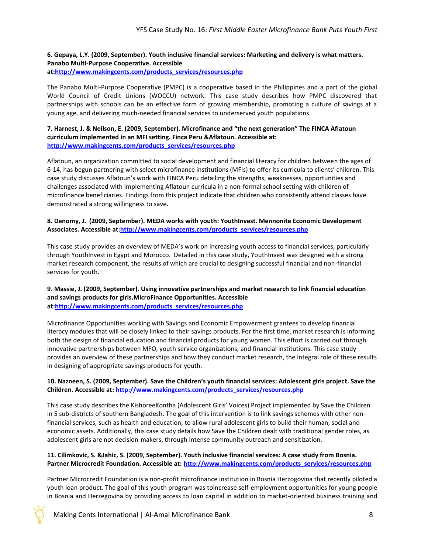#### **6. Gepaya, L.Y. (2009, September). Youth inclusive financial services: Marketing and delivery is what matters. Panabo Multi-Purpose Cooperative. Accessible at[:http://www.makingcents.com/products\\_services/resources.php](http://www.makingcents.com/products_services/resources.php)**

The Panabo Multi-Purpose Cooperative (PMPC) is a cooperative based in the Philippines and a part of the global World Council of Credit Unions (WOCCU) network. This case study describes how PMPC discovered that partnerships with schools can be an effective form of growing membership, promoting a culture of savings at a young age, and delivering much-needed financial services to underserved youth populations.

**7. Harnest, J. & Neilson, E. (2009, September). Microfinance and "the next generation" The FINCA Aflatoun curriculum implemented in an MFI setting. Finca Peru &Aflatoun. Accessible at: [http://www.makingcents.com/products\\_services/resources.php](http://www.makingcents.com/products_services/resources.php)**

Aflatoun, an organization committed to social development and financial literacy for children between the ages of 6-14, has begun partnering with select microfinance institutions (MFIs) to offer its curricula to clients' children. This case study discusses Aflatoun's work with FINCA Peru detailing the strengths, weaknesses, opportunities and challenges associated with implementing Aflatoun curricula in a non-formal school setting with children of microfinance beneficiaries. Findings from this project indicate that children who consistently attend classes have demonstrated a strong willingness to save.

#### **8. Denomy, J. (2009, September). MEDA works with youth: YouthInvest. Mennonite Economic Development Associates. Accessible at[:http://www.makingcents.com/products\\_services/resources.php](http://www.makingcents.com/products_services/resources.php)**

This case study provides an overview of MEDA's work on increasing youth access to financial services, particularly through YouthInvest in Egypt and Morocco. Detailed in this case study, YouthInvest was designed with a strong market research component, the results of which are crucial to designing successful financial and non-financial services for youth.

#### **9. Massie, J. (2009, September). Using innovative partnerships and market research to link financial education and savings products for girls.MicroFinance Opportunities. Accessible at[:http://www.makingcents.com/products\\_services/resources.php](http://www.makingcents.com/products_services/resources.php)**

Microfinance Opportunities working with Savings and Economic Empowerment grantees to develop financial literacy modules that will be closely linked to their savings products. For the first time, market research is informing both the design of financial education and financial products for young women. This effort is carried out through innovative partnerships between MFO, youth service organizations, and financial institutions. This case study provides an overview of these partnerships and how they conduct market research, the integral role of these results in designing of appropriate savings products for youth.

#### **10. Nazneen, S. (2009, September). Save the Children's youth financial services: Adolescent girls project. Save the Children. Accessible at: [http://www.makingcents.com/products\\_services/resources.php](http://www.makingcents.com/products_services/resources.php)**

This case study describes the KishoreeKontha (Adolescent Girls' Voices) Project implemented by Save the Children in 5 sub-districts of southern Bangladesh. The goal of this intervention is to link savings schemes with other nonfinancial services, such as health and education, to allow rural adolescent girls to build their human, social and economic assets. Additionally, this case study details how Save the Children dealt with traditional gender roles, as adolescent girls are not decision-makers, through intense community outreach and sensitization.

#### **11. Cilimkovic, S. &Jahic, S. (2009, September). Youth inclusive financial services: A case study from Bosnia. Partner Microcredit Foundation. Accessible at[: http://www.makingcents.com/products\\_services/resources.php](http://www.makingcents.com/products_services/resources.php)**

Partner Microcredit Foundation is a non-profit microfinance institution in Bosnia Herzogovina that recently piloted a youth loan product. The goal of this youth program was toincrease self-employment opportunities for young people in Bosnia and Herzegovina by providing access to loan capital in addition to market-oriented business training and